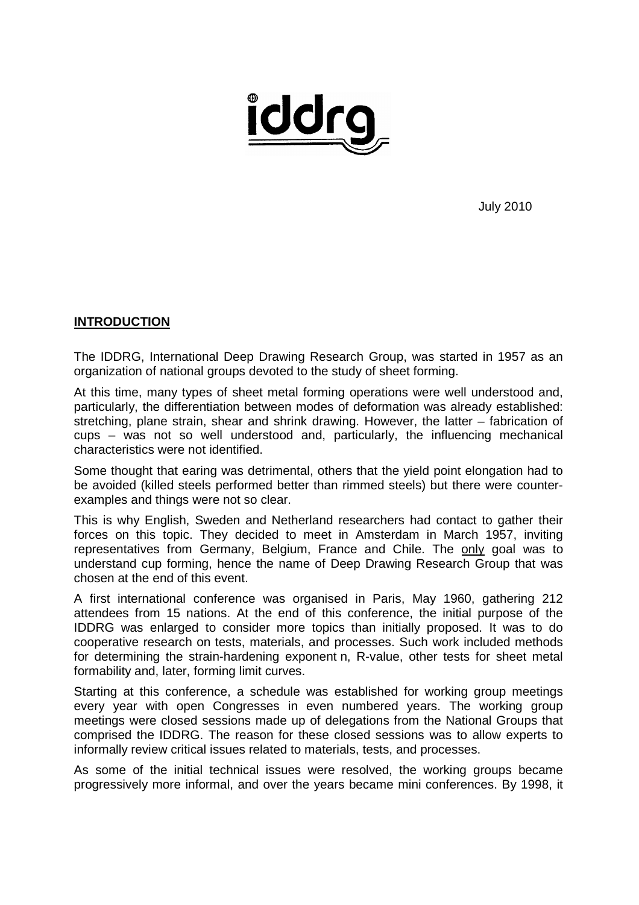

July 2010

#### **INTRODUCTION**

The IDDRG, International Deep Drawing Research Group, was started in 1957 as an organization of national groups devoted to the study of sheet forming.

At this time, many types of sheet metal forming operations were well understood and, particularly, the differentiation between modes of deformation was already established: stretching, plane strain, shear and shrink drawing. However, the latter – fabrication of cups – was not so well understood and, particularly, the influencing mechanical characteristics were not identified.

Some thought that earing was detrimental, others that the yield point elongation had to be avoided (killed steels performed better than rimmed steels) but there were counterexamples and things were not so clear.

This is why English, Sweden and Netherland researchers had contact to gather their forces on this topic. They decided to meet in Amsterdam in March 1957, inviting representatives from Germany, Belgium, France and Chile. The only goal was to understand cup forming, hence the name of Deep Drawing Research Group that was chosen at the end of this event.

A first international conference was organised in Paris, May 1960, gathering 212 attendees from 15 nations. At the end of this conference, the initial purpose of the IDDRG was enlarged to consider more topics than initially proposed. It was to do cooperative research on tests, materials, and processes. Such work included methods for determining the strain-hardening exponent n, R-value, other tests for sheet metal formability and, later, forming limit curves.

Starting at this conference, a schedule was established for working group meetings every vear with open Congresses in even numbered years. The working group meetings were closed sessions made up of delegations from the National Groups that comprised the IDDRG. The reason for these closed sessions was to allow experts to informally review critical issues related to materials, tests, and processes.

As some of the initial technical issues were resolved, the working groups became progressively more informal, and over the years became mini conferences. By 1998, it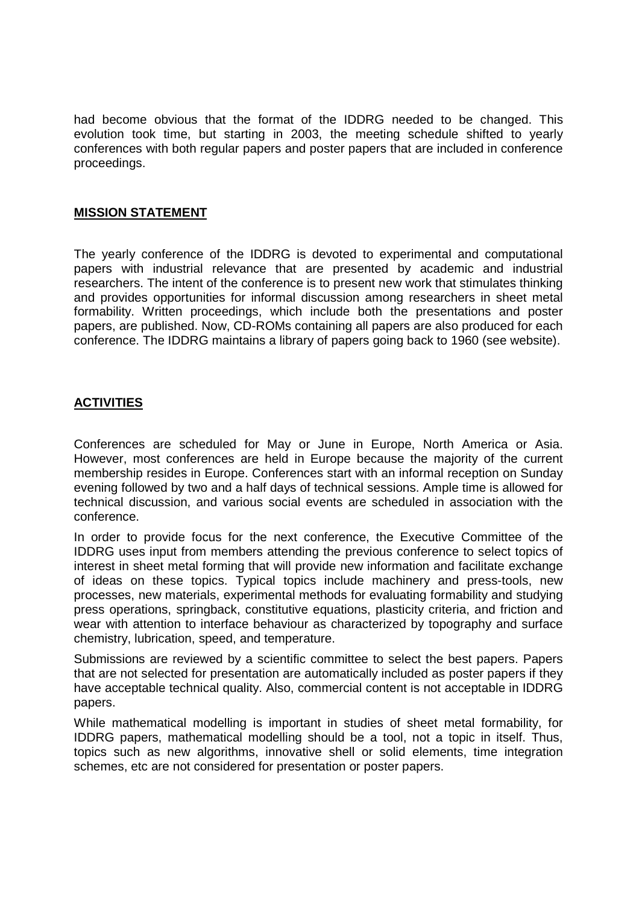had become obvious that the format of the IDDRG needed to be changed. This evolution took time, but starting in 2003, the meeting schedule shifted to yearly conferences with both regular papers and poster papers that are included in conference proceedings.

### **MISSION STATEMENT**

The yearly conference of the IDDRG is devoted to experimental and computational papers with industrial relevance that are presented by academic and industrial researchers. The intent of the conference is to present new work that stimulates thinking and provides opportunities for informal discussion among researchers in sheet metal formability. Written proceedings, which include both the presentations and poster papers, are published. Now, CD-ROMs containing all papers are also produced for each conference. The IDDRG maintains a library of papers going back to 1960 (see website).

## **ACTIVITIES**

Conferences are scheduled for May or June in Europe, North America or Asia. However, most conferences are held in Europe because the majority of the current membership resides in Europe. Conferences start with an informal reception on Sunday evening followed by two and a half days of technical sessions. Ample time is allowed for technical discussion, and various social events are scheduled in association with the conference.

In order to provide focus for the next conference, the Executive Committee of the IDDRG uses input from members attending the previous conference to select topics of interest in sheet metal forming that will provide new information and facilitate exchange of ideas on these topics. Typical topics include machinery and press-tools, new processes, new materials, experimental methods for evaluating formability and studying press operations, springback, constitutive equations, plasticity criteria, and friction and wear with attention to interface behaviour as characterized by topography and surface chemistry, lubrication, speed, and temperature.

Submissions are reviewed by a scientific committee to select the best papers. Papers that are not selected for presentation are automatically included as poster papers if they have acceptable technical quality. Also, commercial content is not acceptable in IDDRG papers.

While mathematical modelling is important in studies of sheet metal formability, for IDDRG papers, mathematical modelling should be a tool, not a topic in itself. Thus, topics such as new algorithms, innovative shell or solid elements, time integration schemes, etc are not considered for presentation or poster papers.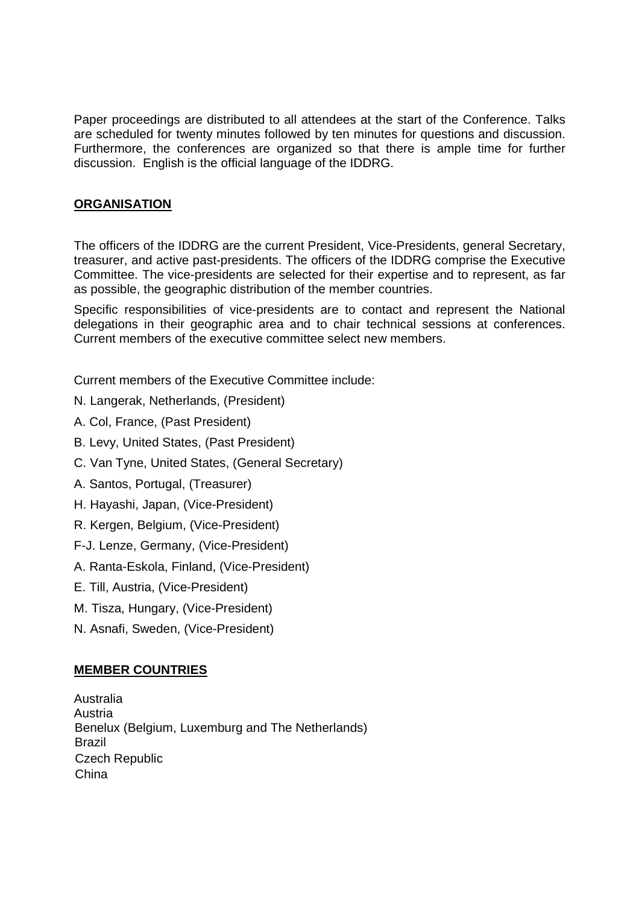Paper proceedings are distributed to all attendees at the start of the Conference. Talks are scheduled for twenty minutes followed by ten minutes for questions and discussion. Furthermore, the conferences are organized so that there is ample time for further discussion. English is the official language of the IDDRG.

# **ORGANISATION**

The officers of the IDDRG are the current President, Vice-Presidents, general Secretary, treasurer, and active past-presidents. The officers of the IDDRG comprise the Executive Committee. The vice-presidents are selected for their expertise and to represent, as far as possible, the geographic distribution of the member countries.

Specific responsibilities of vice-presidents are to contact and represent the National delegations in their geographic area and to chair technical sessions at conferences. Current members of the executive committee select new members.

Current members of the Executive Committee include:

- N. Langerak, Netherlands, (President)
- A. Col, France, (Past President)
- B. Levy, United States, (Past President)
- C. Van Tyne, United States, (General Secretary)
- A. Santos, Portugal, (Treasurer)
- H. Hayashi, Japan, (Vice-President)
- R. Kergen, Belgium, (Vice-President)
- F-J. Lenze, Germany, (Vice-President)
- A. Ranta-Eskola, Finland, (Vice-President)
- E. Till, Austria, (Vice-President)
- M. Tisza, Hungary, (Vice-President)
- N. Asnafi, Sweden, (Vice-President)

## **MEMBER COUNTRIES**

Australia Austria Benelux (Belgium, Luxemburg and The Netherlands) Brazil Czech Republic China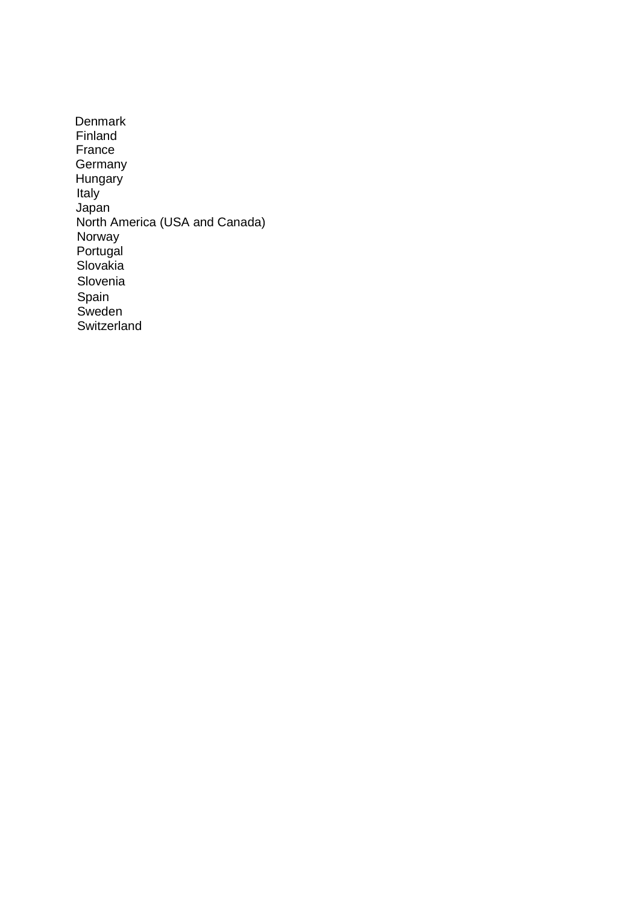**Denmark** Finland France **Germany Hungary** Italy Japan North America (USA and Canada) Norway Portugal Slovakia Slovenia Spain **Sweden Switzerland**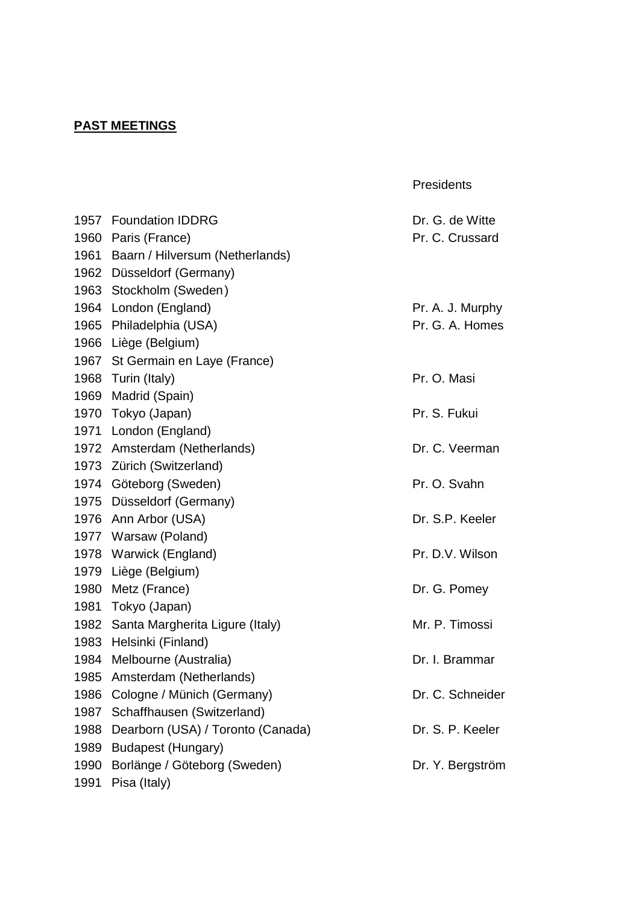# **PAST MEETINGS**

|      | 1957 Foundation IDDRG                | Dr. G. de Witte  |
|------|--------------------------------------|------------------|
|      | 1960 Paris (France)                  | Pr. C. Crussard  |
|      | 1961 Baarn / Hilversum (Netherlands) |                  |
|      | 1962 Düsseldorf (Germany)            |                  |
|      | 1963 Stockholm (Sweden)              |                  |
|      | 1964 London (England)                | Pr. A. J. Murphy |
|      | 1965 Philadelphia (USA)              | Pr. G. A. Homes  |
|      | 1966 Liège (Belgium)                 |                  |
|      | 1967 St Germain en Laye (France)     |                  |
|      | 1968 Turin (Italy)                   | Pr. O. Masi      |
|      | 1969 Madrid (Spain)                  |                  |
| 1970 | Tokyo (Japan)                        | Pr. S. Fukui     |
|      | 1971 London (England)                |                  |
|      | 1972 Amsterdam (Netherlands)         | Dr. C. Veerman   |
|      | 1973 Zürich (Switzerland)            |                  |
|      | 1974 Göteborg (Sweden)               | Pr. O. Svahn     |
|      | 1975 Düsseldorf (Germany)            |                  |
|      | 1976 Ann Arbor (USA)                 | Dr. S.P. Keeler  |
|      | 1977 Warsaw (Poland)                 |                  |
|      | 1978 Warwick (England)               | Pr. D.V. Wilson  |
|      | 1979 Liège (Belgium)                 |                  |
|      | 1980 Metz (France)                   | Dr. G. Pomey     |
| 1981 | Tokyo (Japan)                        |                  |
|      | 1982 Santa Margherita Ligure (Italy) | Mr. P. Timossi   |
|      | 1983 Helsinki (Finland)              |                  |
| 1984 | Melbourne (Australia)                | Dr. I. Brammar   |
| 1985 | Amsterdam (Netherlands)              |                  |
| 1986 | Cologne / Münich (Germany)           | Dr. C. Schneider |
| 1987 | Schaffhausen (Switzerland)           |                  |
| 1988 | Dearborn (USA) / Toronto (Canada)    | Dr. S. P. Keeler |
| 1989 | <b>Budapest (Hungary)</b>            |                  |
| 1990 | Borlänge / Göteborg (Sweden)         | Dr. Y. Bergström |
| 1991 | Pisa (Italy)                         |                  |